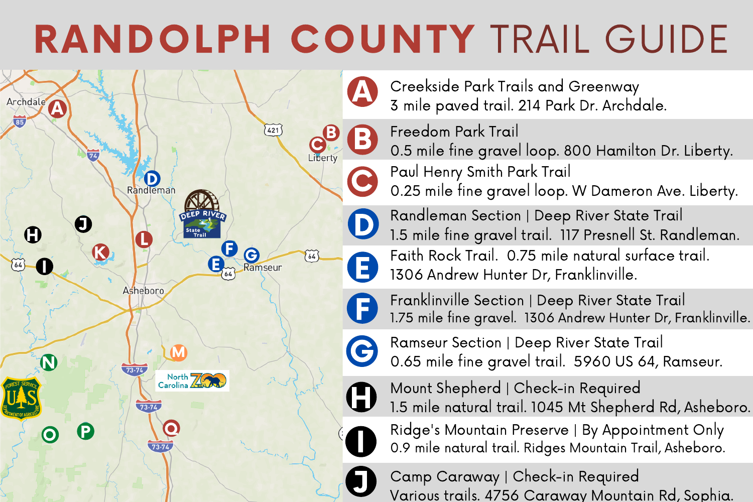## RANDOLPH COUNTY TRAIL GUIDE